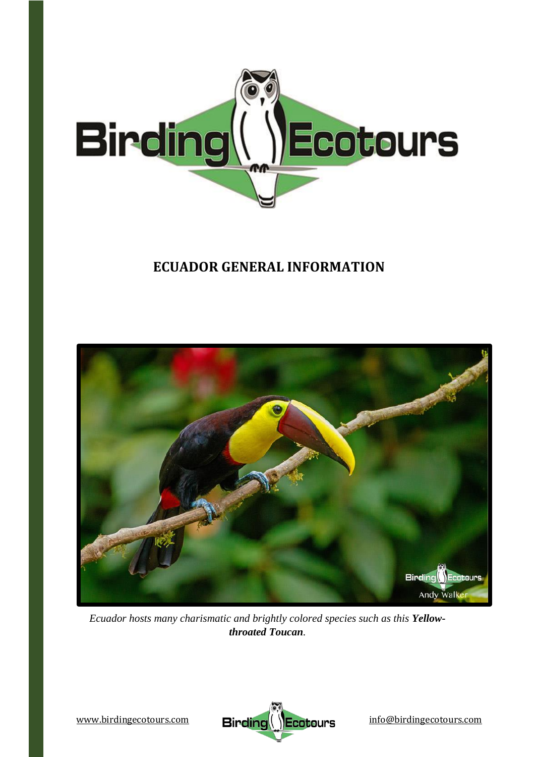

# **ECUADOR GENERAL INFORMATION**



*Ecuador hosts many charismatic and brightly colored species such as this Yellowthroated Toucan.*

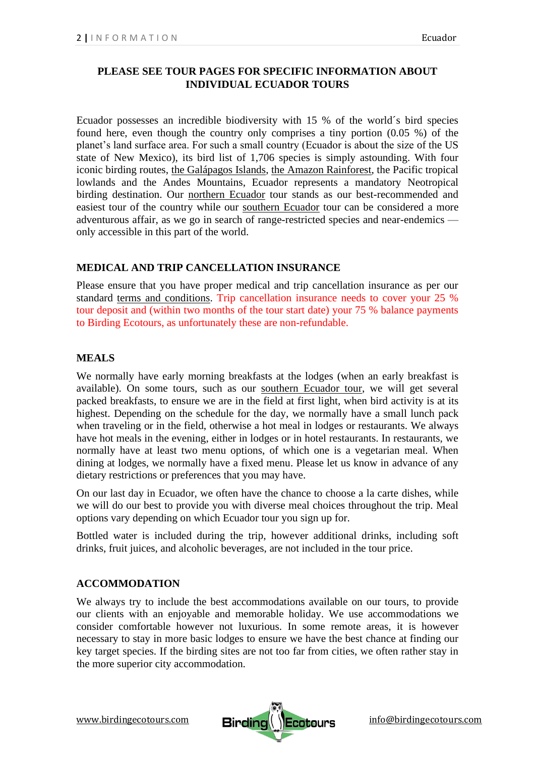## **PLEASE SEE TOUR PAGES FOR SPECIFIC INFORMATION ABOUT INDIVIDUAL ECUADOR TOURS**

Ecuador possesses an incredible biodiversity with 15 % of the world´s bird species found here, even though the country only comprises a tiny portion (0.05 %) of the planet's land surface area. For such a small country (Ecuador is about the size of the US state of New Mexico), its bird list of 1,706 species is simply astounding. With four iconic birding routes, [the Galápagos Islands,](https://www.birdingecotours.com/tour/birding-tour-ecuador-galapagos/) [the Amazon Rainforest,](https://www.birdingecotours.com/tour/birding-tour-ecuador-the-amazon/) the Pacific tropical lowlands and the Andes Mountains, Ecuador represents a mandatory Neotropical birding destination. Our [northern Ecuador](https://www.birdingecotours.com/tour/birding-tour-ecuador-the-north/) tour stands as our best-recommended and easiest tour of the country while our [southern Ecuador](https://www.birdingecotours.com/tour/birding-tour-ecuador-the-south/) tour can be considered a more adventurous affair, as we go in search of range-restricted species and near-endemics only accessible in this part of the world.

## **MEDICAL AND TRIP CANCELLATION INSURANCE**

Please ensure that you have proper medical and trip cancellation insurance as per our standard terms and [conditions.](https://www.birdingecotours.com/about-birding-ecotours/terms-conditions/) Trip cancellation insurance needs to cover your 25 % tour deposit and (within two months of the tour start date) your 75 % balance payments to Birding Ecotours, as unfortunately these are non-refundable.

#### **MEALS**

We normally have early morning breakfasts at the lodges (when an early breakfast is available). On some tours, such as our [southern Ecuador tour,](https://www.birdingecotours.com/tour/birding-tour-ecuador-the-south/) we will get several packed breakfasts, to ensure we are in the field at first light, when bird activity is at its highest. Depending on the schedule for the day, we normally have a small lunch pack when traveling or in the field, otherwise a hot meal in lodges or restaurants. We always have hot meals in the evening, either in lodges or in hotel restaurants. In restaurants, we normally have at least two menu options, of which one is a vegetarian meal. When dining at lodges, we normally have a fixed menu. Please let us know in advance of any dietary restrictions or preferences that you may have.

On our last day in Ecuador, we often have the chance to choose a la carte dishes, while we will do our best to provide you with diverse meal choices throughout the trip. Meal options vary depending on which Ecuador tour you sign up for.

Bottled water is included during the trip, however additional drinks, including soft drinks, fruit juices, and alcoholic beverages, are not included in the tour price.

#### **ACCOMMODATION**

We always try to include the best accommodations available on our tours, to provide our clients with an enjoyable and memorable holiday. We use accommodations we consider comfortable however not luxurious. In some remote areas, it is however necessary to stay in more basic lodges to ensure we have the best chance at finding our key target species. If the birding sites are not too far from cities, we often rather stay in the more superior city accommodation.



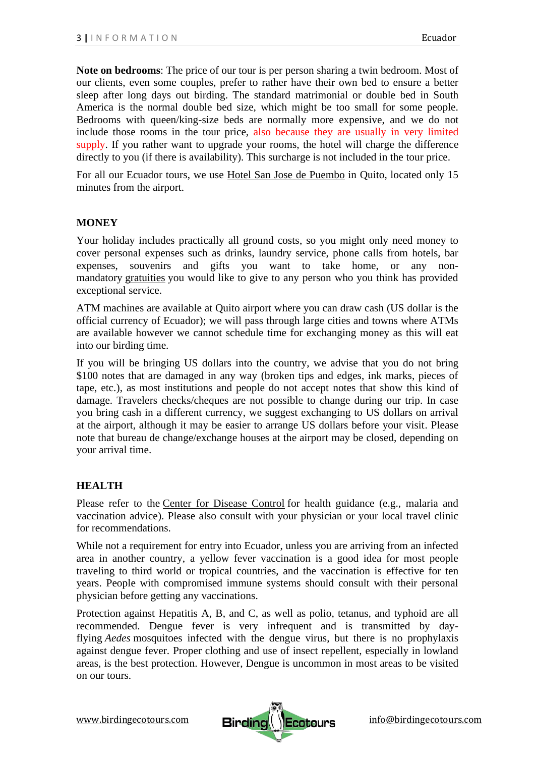**Note on bedrooms**: The price of our tour is per person sharing a twin bedroom. Most of our clients, even some couples, prefer to rather have their own bed to ensure a better sleep after long days out birding. The standard matrimonial or double bed in South America is the normal double bed size, which might be too small for some people. Bedrooms with queen/king-size beds are normally more expensive, and we do not include those rooms in the tour price, also because they are usually in very limited supply. If you rather want to upgrade your rooms, the hotel will charge the difference directly to you (if there is availability). This surcharge is not included in the tour price.

For all our Ecuador tours, we use [Hotel San Jose de Puembo](https://www.sanjosedepuembo.com/) in Quito, located only 15 minutes from the airport.

## **MONEY**

Your holiday includes practically all ground costs, so you might only need money to cover personal expenses such as drinks, laundry service, phone calls from hotels, bar expenses, souvenirs and gifts you want to take home, or any nonmandatory [gratuities](https://www.birdingecotours.com/tipping-guidelines/#:~:text=A%20global%20standard%20for%20tips,t%20feel%20obliged%20or%20pressurized.) you would like to give to any person who you think has provided exceptional service.

ATM machines are available at Quito airport where you can draw cash (US dollar is the official currency of Ecuador); we will pass through large cities and towns where ATMs are available however we cannot schedule time for exchanging money as this will eat into our birding time.

If you will be bringing US dollars into the country, we advise that you do not bring \$100 notes that are damaged in any way (broken tips and edges, ink marks, pieces of tape, etc.), as most institutions and people do not accept notes that show this kind of damage. Travelers checks/cheques are not possible to change during our trip. In case you bring cash in a different currency, we suggest exchanging to US dollars on arrival at the airport, although it may be easier to arrange US dollars before your visit. Please note that bureau de change/exchange houses at the airport may be closed, depending on your arrival time.

#### **HEALTH**

Please refer to the Center for [Disease](https://wwwnc.cdc.gov/travel/destinations/traveler/none/colombia) Control for health guidance (e.g., malaria and vaccination advice). Please also consult with your physician or your local travel clinic for recommendations.

While not a requirement for entry into Ecuador, unless you are arriving from an infected area in another country, a yellow fever vaccination is a good idea for most people traveling to third world or tropical countries, and the vaccination is effective for ten years. People with compromised immune systems should consult with their personal physician before getting any vaccinations.

Protection against Hepatitis A, B, and C, as well as polio, tetanus, and typhoid are all recommended. Dengue fever is very infrequent and is transmitted by dayflying *Aedes* mosquitoes infected with the dengue virus, but there is no prophylaxis against dengue fever. Proper clothing and use of insect repellent, especially in lowland areas, is the best protection. However, Dengue is uncommon in most areas to be visited on our tours.

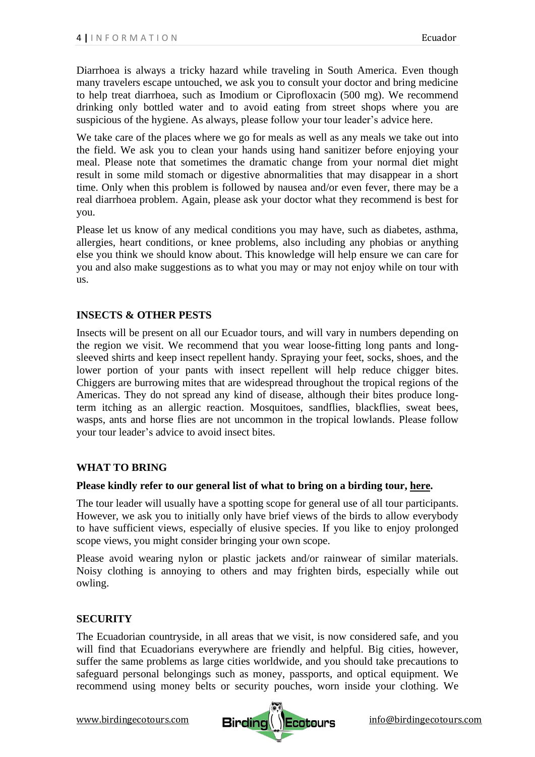Diarrhoea is always a tricky hazard while traveling in South America. Even though many travelers escape untouched, we ask you to consult your doctor and bring medicine to help treat diarrhoea, such as Imodium or Ciprofloxacin (500 mg). We recommend drinking only bottled water and to avoid eating from street shops where you are suspicious of the hygiene. As always, please follow your tour leader's advice here.

We take care of the places where we go for meals as well as any meals we take out into the field. We ask you to clean your hands using hand sanitizer before enjoying your meal. Please note that sometimes the dramatic change from your normal diet might result in some mild stomach or digestive abnormalities that may disappear in a short time. Only when this problem is followed by nausea and/or even fever, there may be a real diarrhoea problem. Again, please ask your doctor what they recommend is best for you.

Please let us know of any medical conditions you may have, such as diabetes, asthma, allergies, heart conditions, or knee problems, also including any phobias or anything else you think we should know about. This knowledge will help ensure we can care for you and also make suggestions as to what you may or may not enjoy while on tour with us.

#### **INSECTS & OTHER PESTS**

Insects will be present on all our Ecuador tours, and will vary in numbers depending on the region we visit. We recommend that you wear loose-fitting long pants and longsleeved shirts and keep insect repellent handy. Spraying your feet, socks, shoes, and the lower portion of your pants with insect repellent will help reduce chigger bites. Chiggers are burrowing mites that are widespread throughout the tropical regions of the Americas. They do not spread any kind of disease, although their bites produce longterm itching as an allergic reaction. Mosquitoes, sandflies, blackflies, sweat bees, wasps, ants and horse flies are not uncommon in the tropical lowlands. Please follow your tour leader's advice to avoid insect bites.

#### **WHAT TO BRING**

#### **Please kindly refer to our general list of what to bring on a birding tour, [here.](https://www.birdingecotours.com/what-to-bring/)**

The tour leader will usually have a spotting scope for general use of all tour participants. However, we ask you to initially only have brief views of the birds to allow everybody to have sufficient views, especially of elusive species. If you like to enjoy prolonged scope views, you might consider bringing your own scope.

Please avoid wearing nylon or plastic jackets and/or rainwear of similar materials. Noisy clothing is annoying to others and may frighten birds, especially while out owling.

#### **SECURITY**

The Ecuadorian countryside, in all areas that we visit, is now considered safe, and you will find that Ecuadorians everywhere are friendly and helpful. Big cities, however, suffer the same problems as large cities worldwide, and you should take precautions to safeguard personal belongings such as money, passports, and optical equipment. We recommend using money belts or security pouches, worn inside your clothing. We

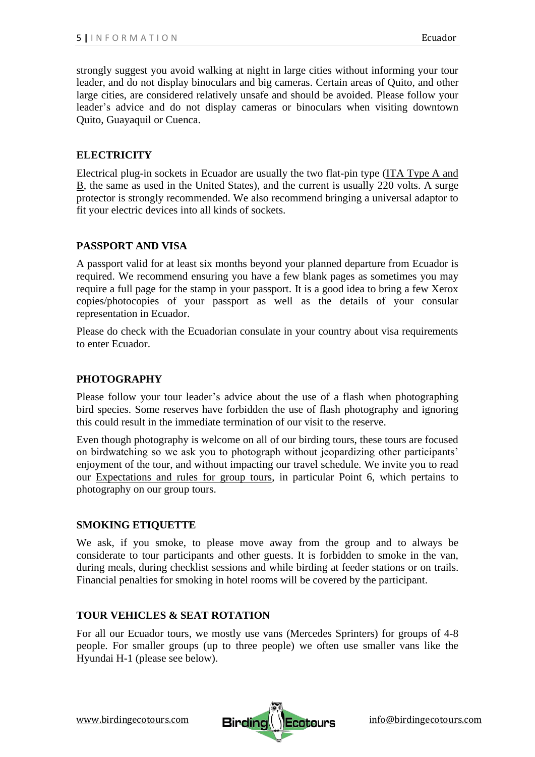strongly suggest you avoid walking at night in large cities without informing your tour leader, and do not display binoculars and big cameras. Certain areas of Quito, and other large cities, are considered relatively unsafe and should be avoided. Please follow your leader's advice and do not display cameras or binoculars when visiting downtown Quito, Guayaquil or Cuenca.

## **ELECTRICITY**

Electrical plug-in sockets in Ecuador are usually the two flat-pin type (ITA [Type](https://www.worldstandards.eu/electricity/plugs-and-sockets/) A and B, the same as used in the United States), and the current is usually 220 volts. A surge protector is strongly recommended. We also recommend bringing a universal adaptor to fit your electric devices into all kinds of sockets.

## **PASSPORT AND VISA**

A passport valid for at least six months beyond your planned departure from Ecuador is required. We recommend ensuring you have a few blank pages as sometimes you may require a full page for the stamp in your passport. It is a good idea to bring a few Xerox copies/photocopies of your passport as well as the details of your consular representation in Ecuador.

Please do check with the Ecuadorian consulate in your country about visa requirements to enter Ecuador.

#### **PHOTOGRAPHY**

Please follow your tour leader's advice about the use of a flash when photographing bird species. Some reserves have forbidden the use of flash photography and ignoring this could result in the immediate termination of our visit to the reserve.

Even though photography is welcome on all of our birding tours, these tours are focused on birdwatching so we ask you to photograph without jeopardizing other participants' enjoyment of the tour, and without impacting our travel schedule. We invite you to read our [Expectations and rules for group tours,](https://www.birdingecotours.com/group-tour-expectations/) in particular Point 6, which pertains to photography on our group tours.

#### **SMOKING ETIQUETTE**

We ask, if you smoke, to please move away from the group and to always be considerate to tour participants and other guests. It is forbidden to smoke in the van, during meals, during checklist sessions and while birding at feeder stations or on trails. Financial penalties for smoking in hotel rooms will be covered by the participant.

#### **TOUR VEHICLES & SEAT ROTATION**

For all our Ecuador tours, we mostly use vans (Mercedes Sprinters) for groups of 4-8 people. For smaller groups (up to three people) we often use smaller vans like the Hyundai H-1 (please see below).

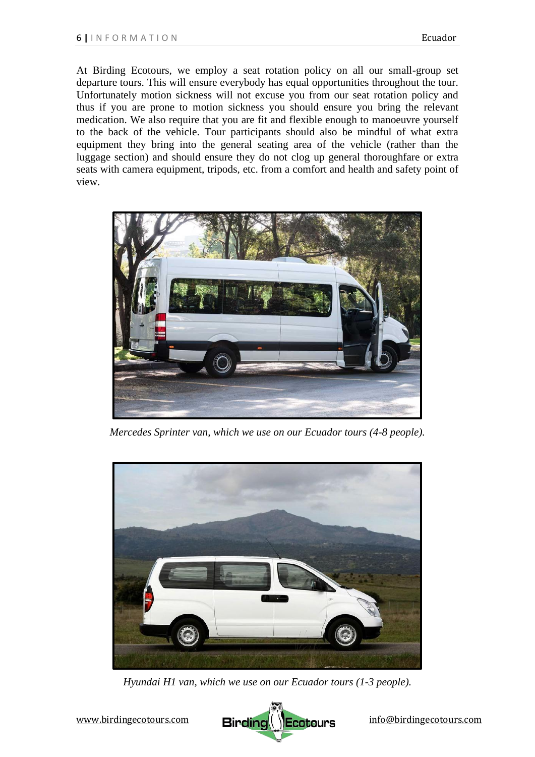At Birding Ecotours, we employ a seat rotation policy on all our small-group set departure tours. This will ensure everybody has equal opportunities throughout the tour. Unfortunately motion sickness will not excuse you from our seat rotation policy and thus if you are prone to motion sickness you should ensure you bring the relevant medication. We also require that you are fit and flexible enough to manoeuvre yourself to the back of the vehicle. Tour participants should also be mindful of what extra equipment they bring into the general seating area of the vehicle (rather than the luggage section) and should ensure they do not clog up general thoroughfare or extra seats with camera equipment, tripods, etc. from a comfort and health and safety point of view.



*Mercedes Sprinter van, which we use on our Ecuador tours (4-8 people).*



*Hyundai H1 van, which we use on our Ecuador tours (1-3 people).*